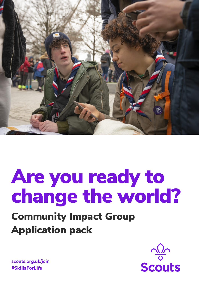

# Are you ready to change the world?

# Community Impact Group Application pack



**scouts.org.uk/join** #SkillsForLife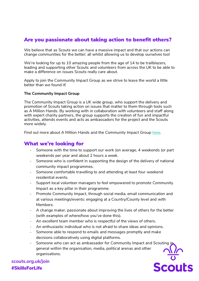### Are you passionate about taking action to benefit others?

We believe that as Scouts we can have a massive impact and that our actions can change communities for the better; all whilst allowing us to develop ourselves too!

We're looking for up to 10 amazing people from the age of 14 to be trailblazers, leading and supporting other Scouts and volunteers from across the UK to be able to make a difference on issues Scouts really care about.

Apply to join the Community Impact Group as we strive to leave the world a little better than we found it!

#### **The Community Impact Group**

The Community Impact Group is a UK wide group, who support the delivery and promotion of Scouts taking action on issues that matter to them through tools such as A Million Hands. By working with in collaboration with volunteers and staff along with expert charity partners, the group supports the creation of fun and impactful activities, attends events and acts as ambassadors for the project and the Scouts more widely.

*Find out more about A Million Hands and the Community Impact Group [here.](https://scouts.org.uk/what-scouts-do/help-others/community/)*

#### What we're looking for

- Someone with the time to support our work (on average, 4 weekends (or part weekends per year and about 2 hours a week.
- Someone who is confident in supporting the design of the delivery of national community impact programmes.
- Someone comfortable travelling to and attending at least four weekend residential events.
- Support local volunteer managers to feel empowered to promote Community Impact as a key pillar in their programme.
- Promote Community Impact, through social media, email communication and at various meetings/events: engaging at a Country/County level and with Members.
- A change maker, passionate about improving the lives of others for the better (with examples of where/how you've done this).
- An excellent team member who is respectful of the views of others.
- An enthusiastic individual who is not afraid to share ideas and opinions.
- Someone able to respond to emails and messages promptly and make decisions collaboratively using digital platforms.
- Someone who can act as ambassador for Community Impact and Scouting in general within the organisation, media, political arenas and other organisations.Scouts

**scouts.org.uk/join** #SkillsForLife